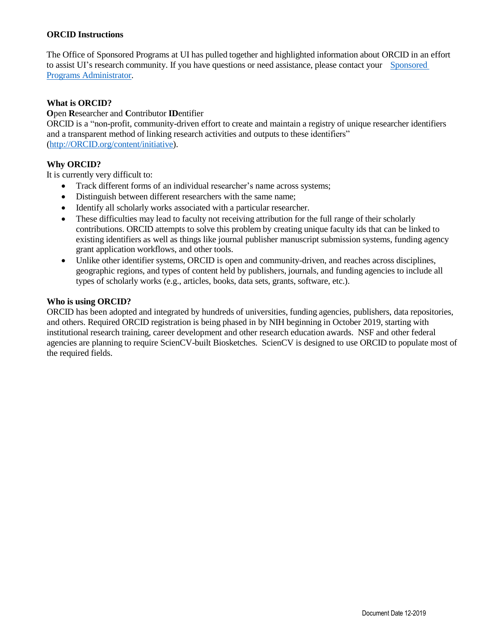# **ORCID Instructions**

The Office of Sponsored Programs at UI has pulled together and highlighted information about ORCID in an effort to assist UI's research community. If you have questions or need assistance, please contact your [Sponsored](https://www.uidaho.edu/research/about/osp/pre-award-administration) [Programs Administrator.](https://www.uidaho.edu/research/about/osp/pre-award-administration)

## **What is ORCID?**

## **O**pen **R**esearcher and **C**ontributor **ID**entifier

ORCID is a "non-profit, community-driven effort to create and maintain a registry of unique researcher identifiers and a transparent method of linking research activities and outputs to these identifiers" [\(http://ORCID.org/content/initiative\)](http://orcid.org/content/initiative).

## **Why ORCID?**

It is currently very difficult to:

- Track different forms of an individual researcher's name across systems;
- Distinguish between different researchers with the same name;
- Identify all scholarly works associated with a particular researcher.
- These difficulties may lead to faculty not receiving attribution for the full range of their scholarly contributions. ORCID attempts to solve this problem by creating unique faculty ids that can be linked to existing identifiers as well as things like journal publisher manuscript submission systems, funding agency grant application workflows, and other tools.
- Unlike other identifier systems, ORCID is open and community-driven, and reaches across disciplines, geographic regions, and types of content held by publishers, journals, and funding agencies to include all types of scholarly works (e.g., articles, books, data sets, grants, software, etc.).

#### **Who is using ORCID?**

ORCID has been adopted and integrated by hundreds of universities, funding agencies, publishers, data repositories, and others. Required ORCID registration is being phased in by NIH beginning in October 2019, starting with institutional research training, career development and other research education awards. NSF and other federal agencies are planning to require ScienCV-built Biosketches. ScienCV is designed to use ORCID to populate most of the required fields.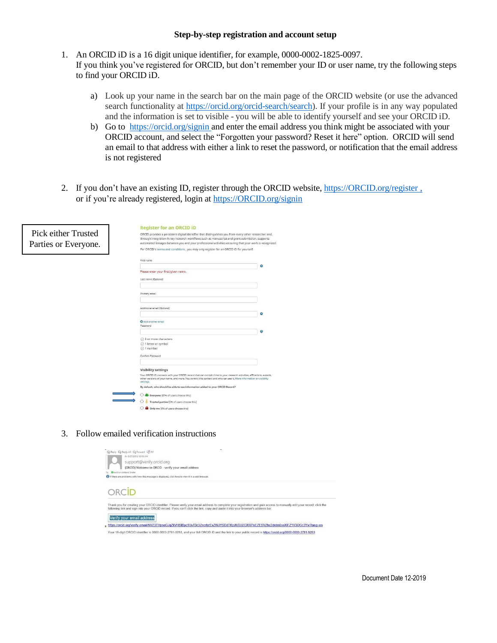#### **Step-by-step registration and account setup**

- 1. An ORCID iD is a 16 digit unique identifier, for example, 0000-0002-1825-0097. If you think you've registered for ORCID, but don't remember your ID or user name, try the following steps to find your ORCID iD.
	- a) Look up your name in the search bar on the main page of the ORCID website (or use the advanced search functionality at [https://orcid.org/orcid-search/search\)](https://orcid.org/orcid-search/search). If your profile is in any way populated and the information is set to visible - you will be able to identify yourself and see your ORCID iD.
	- b) Go to [https://orcid.org/signin a](https://orcid.org/signin)nd enter the email address you think might be associated with your ORCID account, and select the "Forgotten your password? Reset it here" option. ORCID will send an email to that address with either a link to reset the password, or notification that the email address is not registered
- 2. If you don't have an existing ID, register through the ORCID website, [https://ORCID.org/register](https://orcid.org/register) , or if you're already registered, login at [https://ORCID.org/signin](https://orcid.org/signin)

|                                             | <b>Register for an ORCID ID</b>                                                                                                                                                                                                                                                                                     |
|---------------------------------------------|---------------------------------------------------------------------------------------------------------------------------------------------------------------------------------------------------------------------------------------------------------------------------------------------------------------------|
| Pick either Trusted<br>Parties or Everyone. | ORCID provides a persistent digital identifier that distinguishes you from every other researcher and,<br>through integration in key research workflows such as manuscript and grant submission, supports<br>automated linkages between you and your professional activities ensuring that your work is recognized. |
|                                             | Per ORCID's terms and conditions, you may only register for an ORCID ID for yourself.                                                                                                                                                                                                                               |
|                                             | First name                                                                                                                                                                                                                                                                                                          |
|                                             | Θ                                                                                                                                                                                                                                                                                                                   |
|                                             | Please enter your first/given name.                                                                                                                                                                                                                                                                                 |
|                                             | Last name (Optional)                                                                                                                                                                                                                                                                                                |
|                                             |                                                                                                                                                                                                                                                                                                                     |
|                                             | Primary email                                                                                                                                                                                                                                                                                                       |
|                                             |                                                                                                                                                                                                                                                                                                                     |
|                                             | Additional email (Optional)                                                                                                                                                                                                                                                                                         |
|                                             | $\Omega$                                                                                                                                                                                                                                                                                                            |
|                                             | Add another email<br>Password                                                                                                                                                                                                                                                                                       |
|                                             | $\bullet$                                                                                                                                                                                                                                                                                                           |
|                                             | $\oslash$ 8 or more characters                                                                                                                                                                                                                                                                                      |
|                                             | ○ 1 letter or symbol                                                                                                                                                                                                                                                                                                |
|                                             | ⊙ 1 number                                                                                                                                                                                                                                                                                                          |
|                                             | Confirm Password                                                                                                                                                                                                                                                                                                    |
|                                             |                                                                                                                                                                                                                                                                                                                     |
|                                             | <b>Visibility settings</b><br>Your ORCID iD connects with your ORCID record that can contain links to your research activities, affiliations, awards,                                                                                                                                                               |
|                                             | other versions of your name, and more. You control this content and who can see it. More information on visibility<br>settings.                                                                                                                                                                                     |
|                                             | By default, who should be able to see information added to your ORCID Record?                                                                                                                                                                                                                                       |
|                                             | U LE Everyone (87% of users choose this)                                                                                                                                                                                                                                                                            |
|                                             | Trusted parties (5% of users choose this)                                                                                                                                                                                                                                                                           |
|                                             | Only me (8% of users choose this)                                                                                                                                                                                                                                                                                   |

3. Follow emailed verification instructions

|                               | ٠<br>Q Reply Q Reply All Q Forward 店M                                                                                                                                                                                                                                                                   |
|-------------------------------|---------------------------------------------------------------------------------------------------------------------------------------------------------------------------------------------------------------------------------------------------------------------------------------------------------|
|                               | Fri 9/27/2019 10:19 AM                                                                                                                                                                                                                                                                                  |
|                               | support@verify.orcid.org                                                                                                                                                                                                                                                                                |
|                               | [ORCID] Welcome to ORCID - verify your email address                                                                                                                                                                                                                                                    |
| <b>Kathryn Kridand Snider</b> |                                                                                                                                                                                                                                                                                                         |
|                               | If there are problems with how this message is displayed, click here to view it in a web browser.                                                                                                                                                                                                       |
|                               |                                                                                                                                                                                                                                                                                                         |
|                               | Thank you for creating your ORCID identifier. Please verify your email address to complete your registration and gain access to manually edit your record: click the<br>following link and sign into your ORCID record. If you can't click the link, copy and paste it into your browser's address bar. |
|                               | Verify your email address                                                                                                                                                                                                                                                                               |
|                               | https://orcid.org/verify-email/NVZ3THpseGJqZkVHSIBpc1UvT3c3ZncrbzExZWJYSDdTKzJlU3U2OXRPeEZESVZhc2drdm5seXIFZ1V3OGc3Yw?lang=en                                                                                                                                                                           |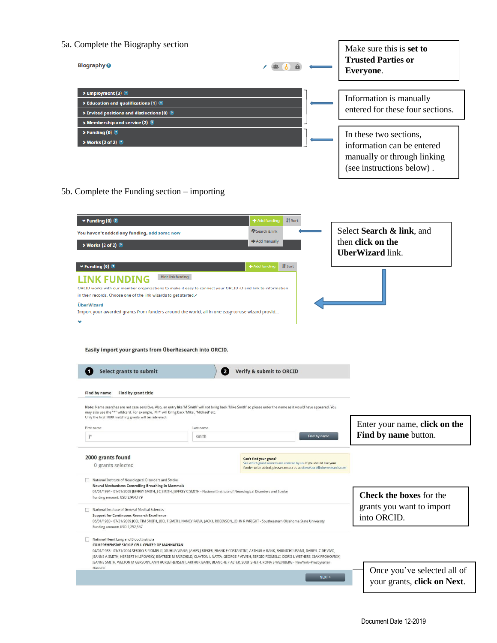| 5a. Complete the Biography section                                                                                                                                                                                                                                                                                                                                                       |           |                                                                                                                                                                     |              | Make sure this is set to<br><b>Trusted Parties or</b>                                                            |
|------------------------------------------------------------------------------------------------------------------------------------------------------------------------------------------------------------------------------------------------------------------------------------------------------------------------------------------------------------------------------------------|-----------|---------------------------------------------------------------------------------------------------------------------------------------------------------------------|--------------|------------------------------------------------------------------------------------------------------------------|
| <b>Biography @</b>                                                                                                                                                                                                                                                                                                                                                                       |           |                                                                                                                                                                     |              | Everyone.                                                                                                        |
| > Employment (3)                                                                                                                                                                                                                                                                                                                                                                         |           |                                                                                                                                                                     |              | Information is manually                                                                                          |
| $\blacktriangleright$ Education and qualifications (1) $\textcircled{\tiny{2}}$<br>> Invited positions and distinctions (0) <sup>3</sup><br>Membership and service (2)                                                                                                                                                                                                                   |           |                                                                                                                                                                     |              | entered for these four sections.                                                                                 |
| $\triangleright$ Funding (0) $\circledcirc$<br>> Works (2 of 2)                                                                                                                                                                                                                                                                                                                          |           |                                                                                                                                                                     |              | In these two sections,<br>information can be entered<br>manually or through linking<br>(see instructions below). |
| $5b$ . Complete the Funding section – importing                                                                                                                                                                                                                                                                                                                                          |           |                                                                                                                                                                     |              |                                                                                                                  |
| $\vee$ Funding (0) $\circledcirc$                                                                                                                                                                                                                                                                                                                                                        |           | <b>IT</b> Sort<br>+ Add funding                                                                                                                                     |              |                                                                                                                  |
| You haven't added any funding, add some now                                                                                                                                                                                                                                                                                                                                              |           | Search & link                                                                                                                                                       |              | Select Search & link, and                                                                                        |
| > Works (2 of 2)                                                                                                                                                                                                                                                                                                                                                                         |           | <b>+</b> Add manually                                                                                                                                               |              | then click on the<br><b>UberWizard</b> link.                                                                     |
| $\blacktriangleright$ Funding (0)                                                                                                                                                                                                                                                                                                                                                        |           | <b>IT</b> Sort<br>Add funding                                                                                                                                       |              |                                                                                                                  |
| Hide link funding                                                                                                                                                                                                                                                                                                                                                                        |           |                                                                                                                                                                     |              |                                                                                                                  |
| ORCID works with our member organizations to make it easy to connect your ORCID iD and link to information                                                                                                                                                                                                                                                                               |           |                                                                                                                                                                     |              |                                                                                                                  |
|                                                                                                                                                                                                                                                                                                                                                                                          |           |                                                                                                                                                                     |              |                                                                                                                  |
| in their records. Choose one of the link wizards to get started.<                                                                                                                                                                                                                                                                                                                        |           |                                                                                                                                                                     |              |                                                                                                                  |
| <b>ÜberWizard</b><br>Import your awarded grants from funders around the world, all in one easy-to-use wizard provid                                                                                                                                                                                                                                                                      |           |                                                                                                                                                                     |              |                                                                                                                  |
|                                                                                                                                                                                                                                                                                                                                                                                          |           |                                                                                                                                                                     |              |                                                                                                                  |
| Easily import your grants from ÜberResearch into ORCID.                                                                                                                                                                                                                                                                                                                                  |           |                                                                                                                                                                     |              |                                                                                                                  |
| <b>Select grants to submit</b><br>1                                                                                                                                                                                                                                                                                                                                                      | 2         | Verify & submit to ORCID                                                                                                                                            |              |                                                                                                                  |
| Find by name<br>Find by grant title                                                                                                                                                                                                                                                                                                                                                      |           |                                                                                                                                                                     |              |                                                                                                                  |
| Note: Name searches are not case sensitive. Also, an entry like 'M Smith' will not bring back 'Mike Smith' so please enter the name as it would have appeared. You<br>may also use the "*" wildcard. For example, 'Mi*' will bring back 'Mike', 'Michael' etc.<br>Only the first 1000 matching grants will be retrieved.                                                                 |           |                                                                                                                                                                     |              |                                                                                                                  |
| First name                                                                                                                                                                                                                                                                                                                                                                               | Last name |                                                                                                                                                                     |              |                                                                                                                  |
| j*                                                                                                                                                                                                                                                                                                                                                                                       | smith     |                                                                                                                                                                     | Find by name | Enter your name, click on the<br>Find by name button.                                                            |
| 2000 grants found<br>0 grants selected                                                                                                                                                                                                                                                                                                                                                   |           | Can't find your grant?<br>See which grant sources are covered by us. If you would like your<br>funder to be added, please contact us at uberwizard@uberresearch.com |              |                                                                                                                  |
| National Institute of Neurological Disorders and Stroke<br><b>Neural Mechanisms Controlling Breathing In Mammals</b><br>01/01/1994 - 01/01/2008 JEFFREY SMITH, J C SMITH, JEFFREY C SMITH - National Institute of Neurological Disorders and Stroke                                                                                                                                      |           |                                                                                                                                                                     |              |                                                                                                                  |
| Funding amount: USD 2,964,179<br>National Institute of General Medical Sciences<br><b>Support for Continuous Research Excellence</b><br>06/01/1983 - 07/31/2009 JOEL TIM SMITH, JOEL T SMITH, NANCY PAIVA, JACK L ROBINSON, JOHN R WRIGHT - Southeastern Oklahoma State University<br>Funding amount: USD 1,252,567                                                                      |           |                                                                                                                                                                     |              | Check the boxes for the<br>grants you want to import<br>into ORCID.                                              |
| National Heart Lung and Blood Institute<br>COMPREHENSIVE SICKLE CELL CENTER OF MANHATTAN<br>04/01/1983 - 03/31/2004 SERGIO S PIOMELLI, XIUHUA WANG, JAMES J BIEKER, FRANK F COSTANTINI, ARTHUR A BANK, SHUNICHI USAMI, DARRYL C DE VIVO,<br>JEANNE A SMITH, HERBERT H LIPOWSKY, BEATRICE M FAIRCHILD, CLAYTON L NATTA, GEORGE F ATWEH, SERGIO PIOMELLI, DORIS L WETHERS, ISAK PROHOVNIK, |           |                                                                                                                                                                     |              |                                                                                                                  |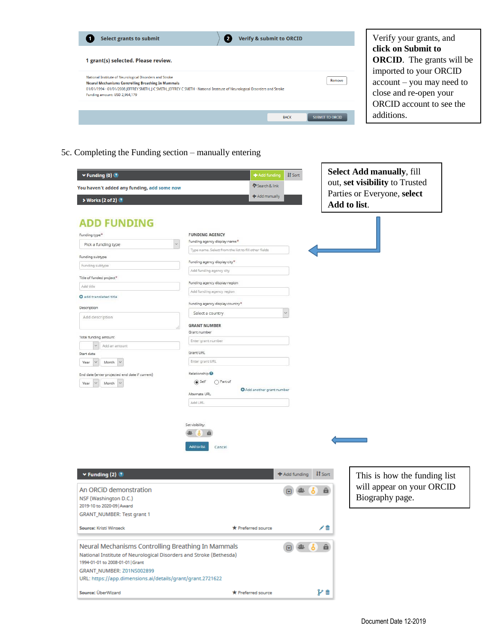| <b>Select grants to submit</b>                                                                                                                                                                                                                                                                                              | <b>Verify &amp; submit to ORCID</b> |                        | Verify your grants, and                                                                                                                                             |
|-----------------------------------------------------------------------------------------------------------------------------------------------------------------------------------------------------------------------------------------------------------------------------------------------------------------------------|-------------------------------------|------------------------|---------------------------------------------------------------------------------------------------------------------------------------------------------------------|
| 1 grant(s) selected. Please review.<br>National Institute of Neurological Disorders and Stroke<br><b>Neural Mechanisms Controlling Breathing In Mammals</b><br>01/01/1994 - 01/01/2008 JEFFREY SMITH, J C SMITH, JEFFREY C SMITH - National Institute of Neurological Disorders and Stroke<br>Funding amount: USD 2,964,179 |                                     | Remove                 | click on Submit to<br><b>ORCID.</b> The grants will be<br>imported to your ORCID<br>account – you may need to<br>close and re-open your<br>ORCID account to see the |
|                                                                                                                                                                                                                                                                                                                             | <b>BACK</b>                         | <b>SUBMIT TO ORCID</b> | additions.                                                                                                                                                          |

5c. Completing the Funding section – manually entering

| $\blacktriangleright$ Funding (0) $\textcircled{\small{2}}$                                          | + Add funding                                        | <b>IT</b> Sort                         | <b>Select Add manually, fill</b>            |
|------------------------------------------------------------------------------------------------------|------------------------------------------------------|----------------------------------------|---------------------------------------------|
| You haven't added any funding, add some now                                                          | Search & link                                        |                                        | out, set visibility to Trusted              |
| > Works (2 of 2) 2                                                                                   | + Add manually                                       |                                        | Parties or Everyone, select<br>Add to list. |
| <b>ADD FUNDING</b>                                                                                   |                                                      |                                        |                                             |
| Funding type <sup>*</sup>                                                                            | <b>FUNDING AGENCY</b>                                |                                        |                                             |
| $\checkmark$<br>Pick a funding type                                                                  | Funding agency display name*                         |                                        |                                             |
| Funding subtype                                                                                      | Type name. Select from the list to fill other fields |                                        |                                             |
| Funding subtype                                                                                      | Funding agency display city*                         |                                        |                                             |
|                                                                                                      | Add funding agency city                              |                                        |                                             |
| Title of funded project*                                                                             | Funding agency display region                        |                                        |                                             |
| Add title                                                                                            | Add funding agency region                            |                                        |                                             |
| <b>O</b> add translated title                                                                        |                                                      |                                        |                                             |
| Description                                                                                          | Funding agency display country*                      |                                        |                                             |
| Add description                                                                                      | Select a country                                     |                                        |                                             |
|                                                                                                      | <b>GRANT NUMBER</b>                                  |                                        |                                             |
| Total funding amount                                                                                 | Grant number                                         |                                        |                                             |
| $\checkmark$<br>Add an amount                                                                        | Enter grant number                                   |                                        |                                             |
| Start date                                                                                           | Grant URL                                            |                                        |                                             |
| Month<br>$\vee$<br>Year                                                                              | Enter grant URL                                      |                                        |                                             |
|                                                                                                      | Relationship <sup>O</sup>                            |                                        |                                             |
| End date (enter projected end date if current)                                                       | $\circledcirc$ Self<br>○ Part of                     |                                        |                                             |
| Year<br>Month                                                                                        | Add another grant number                             |                                        |                                             |
|                                                                                                      | Alternate URL                                        |                                        |                                             |
|                                                                                                      | Add URL                                              |                                        |                                             |
|                                                                                                      | Set visibility:<br>e                                 |                                        |                                             |
|                                                                                                      |                                                      |                                        |                                             |
|                                                                                                      | Add to list<br>Cancel                                |                                        |                                             |
|                                                                                                      |                                                      |                                        |                                             |
|                                                                                                      |                                                      |                                        |                                             |
| $\blacktriangleright$ Funding (2)                                                                    |                                                      | <b>IT</b> Sort<br><b>十</b> Add funding | This is how the funding list                |
|                                                                                                      |                                                      |                                        |                                             |
| An ORCID demonstration                                                                               |                                                      | â                                      | will appear on your ORCID                   |
| NSF (Washington D.C.)                                                                                |                                                      |                                        | Biography page.                             |
| 2019-10 to 2020-09 Award                                                                             |                                                      |                                        |                                             |
| GRANT_NUMBER: Test grant 1                                                                           |                                                      |                                        |                                             |
| Source: Kristi Winseck                                                                               | <b>*</b> Preferred source                            |                                        |                                             |
|                                                                                                      |                                                      |                                        |                                             |
| Neural Mechanisms Controlling Breathing In Mammals                                                   |                                                      |                                        |                                             |
| National Institute of Neurological Disorders and Stroke (Bethesda)<br>1994-01-01 to 2008-01-01 Grant |                                                      |                                        |                                             |
| GRANT_NUMBER: Z01NS002899                                                                            |                                                      |                                        |                                             |
| URL: https://app.dimensions.ai/details/grant/grant.2721622                                           |                                                      |                                        |                                             |
|                                                                                                      |                                                      |                                        |                                             |
| Source: ÜberWizard                                                                                   | * Preferred source                                   | y m                                    |                                             |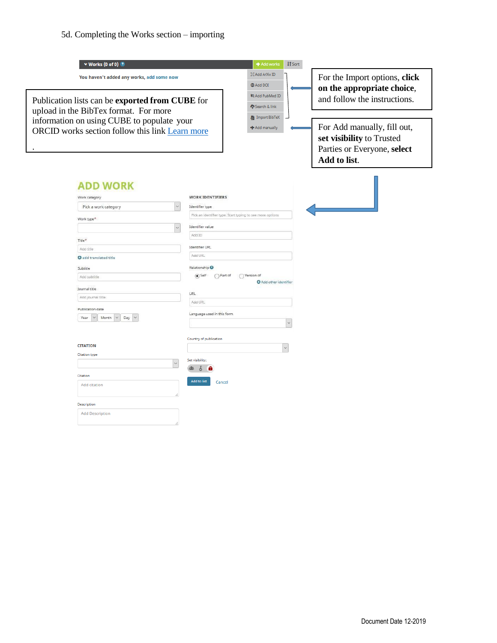# 5d. Completing the Works section – importing

| $\vee$ Works (0 of 0)                                                                         | + Add works<br><b>IT</b> Sort                                     |                                                                                                         |
|-----------------------------------------------------------------------------------------------|-------------------------------------------------------------------|---------------------------------------------------------------------------------------------------------|
| You haven't added any works, add some now                                                     | 其 Add ArXiv ID<br><b>@ Add DOI</b>                                | For the Import options, click<br>on the appropriate choice,                                             |
| Publication lists can be exported from CUBE for                                               | 物 Add PubMed ID<br>Search & link                                  | and follow the instructions.                                                                            |
| upload in the BibTex format. For more                                                         | Import BibTeX                                                     |                                                                                                         |
| information on using CUBE to populate your<br>ORCID works section follow this link Learn more | + Add manually                                                    | For Add manually, fill out,<br>set visibility to Trusted<br>Parties or Everyone, select<br>Add to list. |
| <b>ADD WORK</b><br>Work category                                                              | <b>WORK IDENTIFIERS</b>                                           |                                                                                                         |
| Pick a work category                                                                          | Identifier type                                                   |                                                                                                         |
|                                                                                               | Pick an identifier type. Start typing to see more options         |                                                                                                         |
| Work type*                                                                                    | Identifier value                                                  |                                                                                                         |
|                                                                                               | Add ID                                                            |                                                                                                         |
| Title*                                                                                        |                                                                   |                                                                                                         |
| Add title                                                                                     | <b>Identifier URL</b>                                             |                                                                                                         |
| <b>O</b> add translated title                                                                 | Add URL                                                           |                                                                                                         |
| Subtitle                                                                                      | Relationship <sup>O</sup>                                         |                                                                                                         |
| Add subtitle                                                                                  | $\circ$ Self<br>○ Part of<br>◯ Version of<br>Add other identifier |                                                                                                         |
| Journal title                                                                                 |                                                                   |                                                                                                         |
| Add journal title                                                                             | URL                                                               |                                                                                                         |
| Publication date                                                                              | Add URL                                                           |                                                                                                         |
| $\vee$<br>Month<br>Day $\vee$<br>Year                                                         | Language used in this form                                        |                                                                                                         |
|                                                                                               |                                                                   |                                                                                                         |
|                                                                                               | Country of publication                                            |                                                                                                         |
| <b>CITATION</b>                                                                               |                                                                   |                                                                                                         |
| <b>Citation type</b>                                                                          |                                                                   |                                                                                                         |
| $\checkmark$                                                                                  | Set visibility:                                                   |                                                                                                         |
| Citation                                                                                      | ò                                                                 |                                                                                                         |
| Add citation                                                                                  | <b>Add to list</b><br>Cancel                                      |                                                                                                         |
|                                                                                               |                                                                   |                                                                                                         |
| Description                                                                                   |                                                                   |                                                                                                         |
| <b>Add Description</b>                                                                        |                                                                   |                                                                                                         |
|                                                                                               |                                                                   |                                                                                                         |
|                                                                                               |                                                                   |                                                                                                         |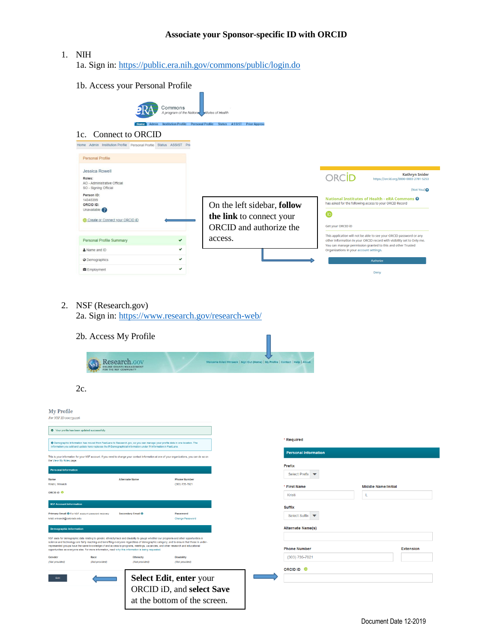# **Associate your Sponsor-specific ID with ORCID**

## 1. NIH

1a. Sign in: <https://public.era.nih.gov/commons/public/login.do>

1b. Access your Personal Profile Commons A program of the Nationa tutes of Health <u>tile Personal Profile Status ASSIST Prior Approva</u> 1c. Connect to ORCID Home Admin Institution Profile Personal Profile Status ASSIST Priv Personal Profile Jessica Rowell ORCID **Kathryn Snider** Roles: https://orcid.org/0000-00 **Roles:**<br>AO - Administrative Official<br>SO - Signing Official  $(Not You)$ **Person ID:**<br>14345399 National Institutes of Health - eRA Commons <sup>O</sup> has asked for the following access to your ORCID Record On the left sidebar, **follow** ORCID ID: Unavailable  $\bullet$ **the link** to connect your Create or Connect your ORCID ID Get your ORCID ID ORCID and authorize the This application will not be able to see your ORCID password or any access.Personal Profile Summary This application will not us easie to see to use your OKLD password or any<br>other information in your ORCID record with visibility set to Only me.<br>You can manage permission granted to this and other Trusted<br>Organizations in  $\checkmark$  $\checkmark$ & Name and ID  $\checkmark$ © Demographics Employment U Deny 2. NSF (Research.gov) 2a. Sign in: <https://www.research.gov/research-web/> 2b. Access My Profile Research.cov 2c. My Profile For NSF ID 000731226 S Your profile has been updated successfully. \* Required O Demographic Information has moved from FastLane to Research.gov, so you can manage your profile data in one location. The<br>Information you add and update here replaces the PI Demographical Information under PI Information Personal Information This is your information for your NSF account. If you need to change your cor<br>the View My Poles nane izations, you can do so on Prefix Personal Info Select Prefix  $\bullet$ Alternate Name **Phone Number** Kristi I Winsech (303) 735-7821 \* First Name Middle Name/Initial ORCID ID Kristi  $\mathbf{L}$ NSF A Suffix Primary Email <sup>O</sup> For NSF as Secondary Email <sup>O</sup> Password Select Suffix Alternate Name(s) NSF asks for demographic data relating to gender, ethnichy/race and disability to gauge whether our programs and other opportunities in<br>science and technology are fairly reaching and benefiting everyone repardless of demog **Phone Number** Extension (303) 735-7821 Ethnicity (Not provided) (Not provided) (Not provid (Not provided ORCID ID <sup>®</sup> **Select Edit**, **enter** your Edit ORCID iD, and **select Save** at the bottom of the screen.